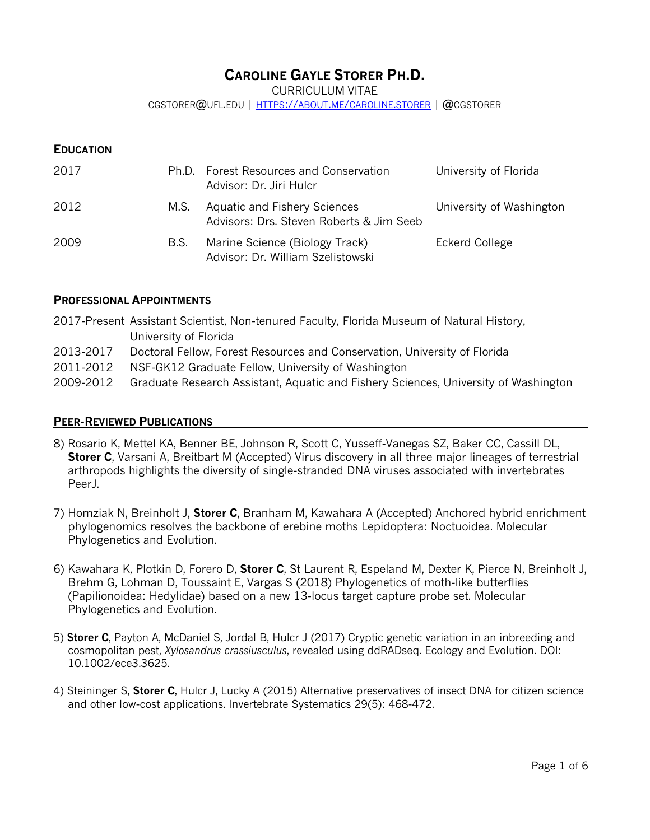CURRICULUM VITAE

CGSTORER@UFL.EDU | HTTPS://ABOUT.ME/CAROLINE.STORER | @CGSTORER

| <b>EDUCATION</b> |      |                                                                          |                          |
|------------------|------|--------------------------------------------------------------------------|--------------------------|
| 2017             |      | Ph.D. Forest Resources and Conservation<br>Advisor: Dr. Jiri Hulcr       | University of Florida    |
| 2012             | M.S. | Aquatic and Fishery Sciences<br>Advisors: Drs. Steven Roberts & Jim Seeb | University of Washington |
| 2009             | B.S. | Marine Science (Biology Track)<br>Advisor: Dr. William Szelistowski      | Eckerd College           |

#### **PROFESSIONAL APPOINTMENTS**

2017-Present Assistant Scientist, Non-tenured Faculty, Florida Museum of Natural History, University of Florida 2013-2017 Doctoral Fellow, Forest Resources and Conservation, University of Florida 2011-2012 NSF-GK12 Graduate Fellow, University of Washington 2009-2012 Graduate Research Assistant, Aquatic and Fishery Sciences, University of Washington

#### **PEER-REVIEWED PUBLICATIONS**

- 8) Rosario K, Mettel KA, Benner BE, Johnson R, Scott C, Yusseff-Vanegas SZ, Baker CC, Cassill DL, **Storer C**, Varsani A, Breitbart M (Accepted) Virus discovery in all three major lineages of terrestrial arthropods highlights the diversity of single-stranded DNA viruses associated with invertebrates PeerJ.
- 7) Homziak N, Breinholt J, **Storer C**, Branham M, Kawahara A (Accepted) Anchored hybrid enrichment phylogenomics resolves the backbone of erebine moths Lepidoptera: Noctuoidea. Molecular Phylogenetics and Evolution.
- 6) Kawahara K, Plotkin D, Forero D, **Storer C**, St Laurent R, Espeland M, Dexter K, Pierce N, Breinholt J, Brehm G, Lohman D, Toussaint E, Vargas S (2018) Phylogenetics of moth-like butterflies (Papilionoidea: Hedylidae) based on a new 13-locus target capture probe set. Molecular Phylogenetics and Evolution.
- 5) **Storer C**, Payton A, McDaniel S, Jordal B, Hulcr J (2017) Cryptic genetic variation in an inbreeding and cosmopolitan pest, *Xylosandrus crassiusculus*, revealed using ddRADseq. Ecology and Evolution. DOI: 10.1002/ece3.3625.
- 4) Steininger S, **Storer C**, Hulcr J, Lucky A (2015) Alternative preservatives of insect DNA for citizen science and other low-cost applications. Invertebrate Systematics 29(5): 468-472.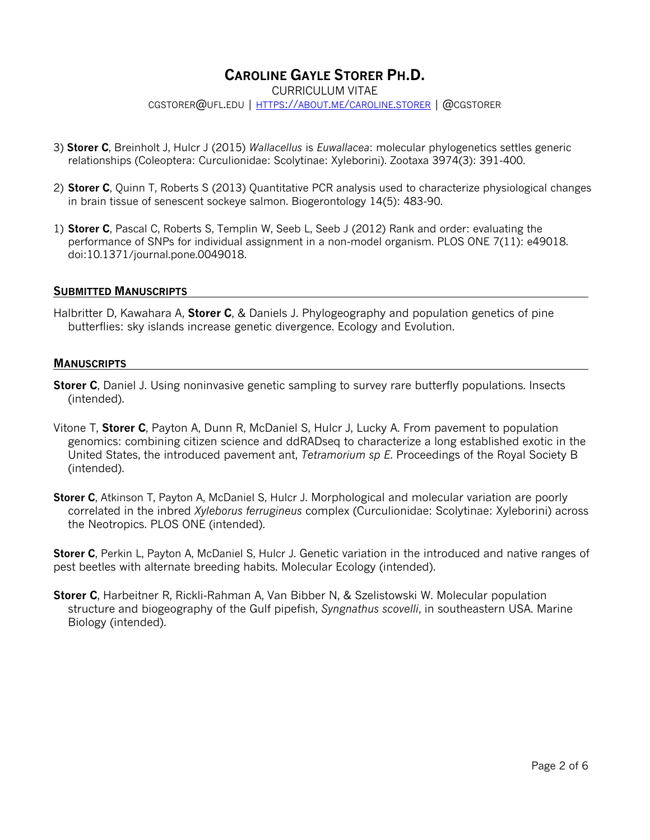CURRICULUM VITAE CGSTORER@UFL.EDU | HTTPS://ABOUT.ME/CAROLINE.STORER | @CGSTORER

- 3) **Storer C**, Breinholt J, Hulcr J (2015) *Wallacellus* is *Euwallacea*: molecular phylogenetics settles generic relationships (Coleoptera: Curculionidae: Scolytinae: Xyleborini). Zootaxa 3974(3): 391-400.
- 2) **Storer C**, Quinn T, Roberts S (2013) Quantitative PCR analysis used to characterize physiological changes in brain tissue of senescent sockeye salmon. Biogerontology 14(5): 483-90.
- 1) **Storer C**, Pascal C, Roberts S, Templin W, Seeb L, Seeb J (2012) Rank and order: evaluating the performance of SNPs for individual assignment in a non-model organism. PLOS ONE 7(11): e49018. doi:10.1371/journal.pone.0049018.

#### **SUBMITTED MANUSCRIPTS**

Halbritter D, Kawahara A, **Storer C**, & Daniels J. Phylogeography and population genetics of pine butterflies: sky islands increase genetic divergence. Ecology and Evolution.

#### **MANUSCRIPTS**

- **Storer C**, Daniel J. Using noninvasive genetic sampling to survey rare butterfly populations. Insects (intended).
- Vitone T, **Storer C**, Payton A, Dunn R, McDaniel S, Hulcr J, Lucky A. From pavement to population genomics: combining citizen science and ddRADseq to characterize a long established exotic in the United States, the introduced pavement ant, *Tetramorium sp E*. Proceedings of the Royal Society B (intended).
- **Storer C**, Atkinson T, Payton A, McDaniel S, Hulcr J. Morphological and molecular variation are poorly correlated in the inbred *Xyleborus ferrugineus* complex (Curculionidae: Scolytinae: Xyleborini) across the Neotropics. PLOS ONE (intended).

**Storer C**, Perkin L, Payton A, McDaniel S, Hulcr J. Genetic variation in the introduced and native ranges of pest beetles with alternate breeding habits. Molecular Ecology (intended).

**Storer C**, Harbeitner R, Rickli-Rahman A, Van Bibber N, & Szelistowski W. Molecular population structure and biogeography of the Gulf pipefish, *Syngnathus scovelli*, in southeastern USA. Marine Biology (intended).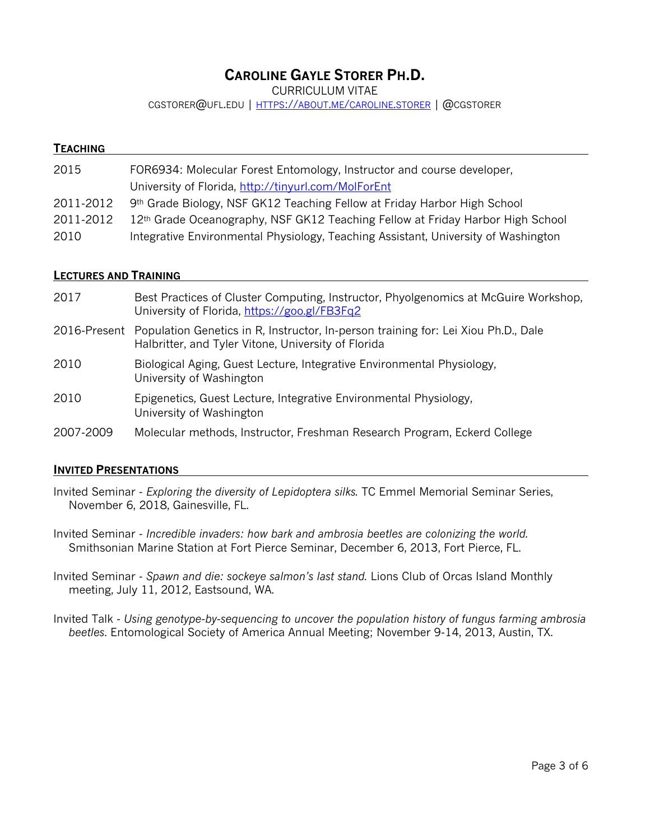CURRICULUM VITAE

CGSTORER@UFL.EDU | HTTPS://ABOUT.ME/CAROLINE.STORER | @CGSTORER

#### **TEACHING**

| FOR6934: Molecular Forest Entomology, Instructor and course developer,                     |  |  |
|--------------------------------------------------------------------------------------------|--|--|
| University of Florida, http://tinyurl.com/MolForEnt                                        |  |  |
| 9th Grade Biology, NSF GK12 Teaching Fellow at Friday Harbor High School                   |  |  |
| 12 <sup>th</sup> Grade Oceanography, NSF GK12 Teaching Fellow at Friday Harbor High School |  |  |
| Integrative Environmental Physiology, Teaching Assistant, University of Washington         |  |  |
|                                                                                            |  |  |

### **LECTURES AND TRAINING**

| 2017      | Best Practices of Cluster Computing, Instructor, Phyolgenomics at McGuire Workshop,<br>University of Florida, https://goo.gl/FB3Fq2                    |
|-----------|--------------------------------------------------------------------------------------------------------------------------------------------------------|
|           | 2016-Present Population Genetics in R, Instructor, In-person training for: Lei Xiou Ph.D., Dale<br>Halbritter, and Tyler Vitone, University of Florida |
| 2010      | Biological Aging, Guest Lecture, Integrative Environmental Physiology,<br>University of Washington                                                     |
| 2010      | Epigenetics, Guest Lecture, Integrative Environmental Physiology,<br>University of Washington                                                          |
| 2007-2009 | Molecular methods, Instructor, Freshman Research Program, Eckerd College                                                                               |

#### **INVITED PRESENTATIONS**

Invited Seminar - *Exploring the diversity of Lepidoptera silks.* TC Emmel Memorial Seminar Series, November 6, 2018, Gainesville, FL.

Invited Seminar - *Incredible invaders: how bark and ambrosia beetles are colonizing the world.* Smithsonian Marine Station at Fort Pierce Seminar, December 6, 2013, Fort Pierce, FL.

Invited Seminar - *Spawn and die: sockeye salmon's last stand.* Lions Club of Orcas Island Monthly meeting, July 11, 2012, Eastsound, WA.

Invited Talk - *Using genotype-by-sequencing to uncover the population history of fungus farming ambrosia beetles*. Entomological Society of America Annual Meeting; November 9-14, 2013, Austin, TX.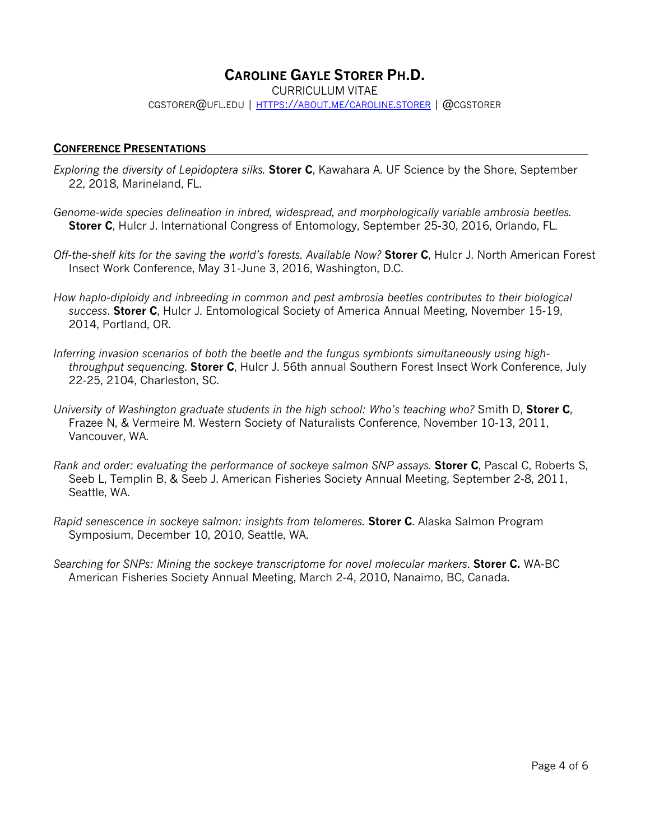CURRICULUM VITAE CGSTORER@UFL.EDU | HTTPS://ABOUT.ME/CAROLINE.STORER | @CGSTORER

### **CONFERENCE PRESENTATIONS**

- *Exploring the diversity of Lepidoptera silks.* **Storer C**, Kawahara A. UF Science by the Shore, September 22, 2018, Marineland, FL.
- *Genome-wide species delineation in inbred, widespread, and morphologically variable ambrosia beetles.*  **Storer C**, Hulcr J. International Congress of Entomology, September 25-30, 2016, Orlando, FL.
- *Off-the-shelf kits for the saving the world's forests. Available Now?* **Storer C**, Hulcr J. North American Forest Insect Work Conference, May 31-June 3, 2016, Washington, D.C.
- *How haplo-diploidy and inbreeding in common and pest ambrosia beetles contributes to their biological success*. **Storer C**, Hulcr J. Entomological Society of America Annual Meeting, November 15-19, 2014, Portland, OR.
- *Inferring invasion scenarios of both the beetle and the fungus symbionts simultaneously using highthroughput sequencing*. **Storer C**, Hulcr J. 56th annual Southern Forest Insect Work Conference, July 22-25, 2104, Charleston, SC.
- *University of Washington graduate students in the high school: Who's teaching who?* Smith D, **Storer C**, Frazee N, & Vermeire M. Western Society of Naturalists Conference, November 10-13, 2011, Vancouver, WA.
- *Rank and order: evaluating the performance of sockeye salmon SNP assays.* **Storer C**, Pascal C, Roberts S, Seeb L, Templin B, & Seeb J. American Fisheries Society Annual Meeting, September 2-8, 2011, Seattle, WA.
- *Rapid senescence in sockeye salmon: insights from telomeres.* **Storer C**. Alaska Salmon Program Symposium, December 10, 2010, Seattle, WA.
- *Searching for SNPs: Mining the sockeye transcriptome for novel molecular markers*. **Storer C.** WA-BC American Fisheries Society Annual Meeting, March 2-4, 2010, Nanaimo, BC, Canada.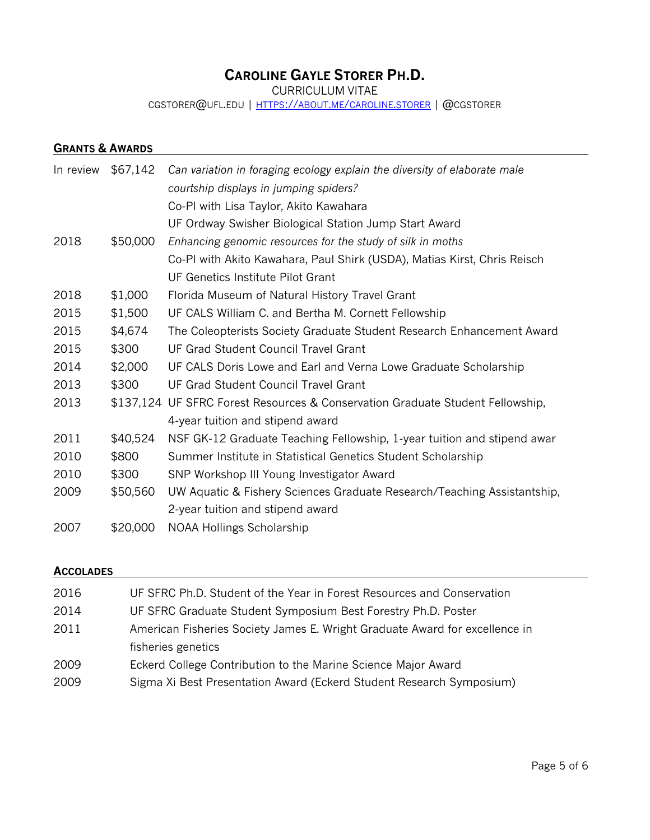CURRICULUM VITAE

CGSTORER@UFL.EDU | HTTPS://ABOUT.ME/CAROLINE.STORER | @CGSTORER

| <b>GRANTS &amp; AWARDS</b> |          |                                                                                                                     |
|----------------------------|----------|---------------------------------------------------------------------------------------------------------------------|
| In review \$67,142         |          | Can variation in foraging ecology explain the diversity of elaborate male<br>courtship displays in jumping spiders? |
|                            |          | Co-PI with Lisa Taylor, Akito Kawahara                                                                              |
|                            |          | UF Ordway Swisher Biological Station Jump Start Award                                                               |
| 2018                       | \$50,000 | Enhancing genomic resources for the study of silk in moths                                                          |
|                            |          | Co-PI with Akito Kawahara, Paul Shirk (USDA), Matias Kirst, Chris Reisch                                            |
|                            |          | UF Genetics Institute Pilot Grant                                                                                   |
| 2018                       | \$1,000  | Florida Museum of Natural History Travel Grant                                                                      |
| 2015                       | \$1,500  | UF CALS William C. and Bertha M. Cornett Fellowship                                                                 |
| 2015                       | \$4,674  | The Coleopterists Society Graduate Student Research Enhancement Award                                               |
| 2015                       | \$300    | UF Grad Student Council Travel Grant                                                                                |
| 2014                       | \$2,000  | UF CALS Doris Lowe and Earl and Verna Lowe Graduate Scholarship                                                     |
| 2013                       | \$300    | UF Grad Student Council Travel Grant                                                                                |
| 2013                       |          | \$137,124 UF SFRC Forest Resources & Conservation Graduate Student Fellowship,                                      |
|                            |          | 4-year tuition and stipend award                                                                                    |
| 2011                       | \$40,524 | NSF GK-12 Graduate Teaching Fellowship, 1-year tuition and stipend awar                                             |
| 2010                       | \$800    | Summer Institute in Statistical Genetics Student Scholarship                                                        |
| 2010                       | \$300    | SNP Workshop III Young Investigator Award                                                                           |
| 2009                       | \$50,560 | UW Aquatic & Fishery Sciences Graduate Research/Teaching Assistantship,                                             |
|                            |          | 2-year tuition and stipend award                                                                                    |
| 2007                       | \$20,000 | <b>NOAA Hollings Scholarship</b>                                                                                    |

### **ACCOLADES**

| 2016 | UF SFRC Ph.D. Student of the Year in Forest Resources and Conservation      |
|------|-----------------------------------------------------------------------------|
| 2014 | UF SFRC Graduate Student Symposium Best Forestry Ph.D. Poster               |
| 2011 | American Fisheries Society James E. Wright Graduate Award for excellence in |
|      | fisheries genetics                                                          |
| 2009 | Eckerd College Contribution to the Marine Science Major Award               |
| 2009 | Sigma Xi Best Presentation Award (Eckerd Student Research Symposium)        |